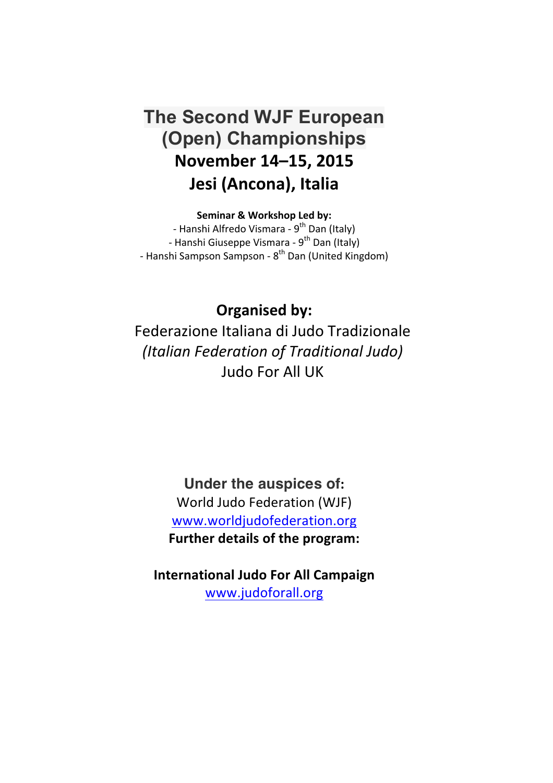# **The Second WJF European (Open) Championships November 14–15, 2015** Jesi (Ancona), Italia

**Seminar & Workshop Led by:** 

- Hanshi Alfredo Vismara - 9<sup>th</sup> Dan (Italy) - Hanshi Giuseppe Vismara - 9<sup>th</sup> Dan (Italy) - Hanshi Sampson Sampson - 8<sup>th</sup> Dan (United Kingdom)

**Organised by:** Federazione Italiana di Judo Tradizionale *(Italian Federation of Traditional Judo)* Judo For All UK

> **Under the auspices of:** World Judo Federation (WJF) www.worldjudofederation.org **Further details of the program:**

**International Judo For All Campaign** www.judoforall.org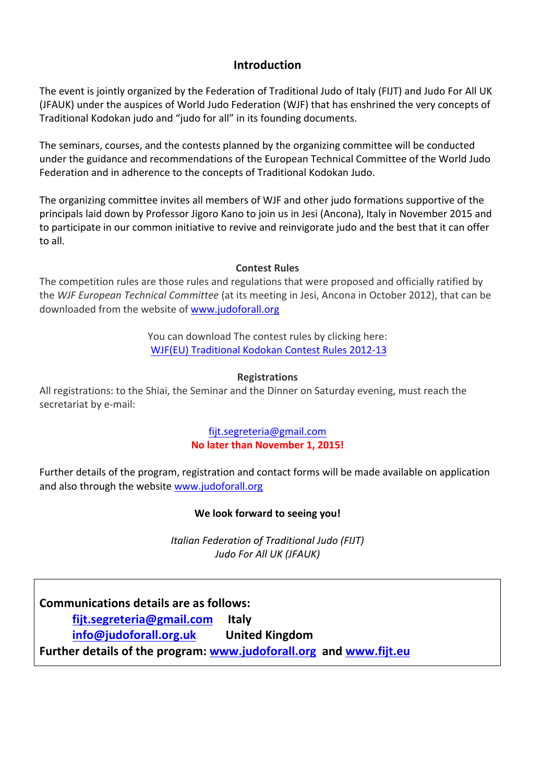# **Introduction**

The event is jointly organized by the Federation of Traditional Judo of Italy (FIJT) and Judo For All UK (JFAUK) under the auspices of World Judo Federation (WJF) that has enshrined the very concepts of Traditional Kodokan judo and "judo for all" in its founding documents.

The seminars, courses, and the contests planned by the organizing committee will be conducted under the guidance and recommendations of the European Technical Committee of the World Judo Federation and in adherence to the concepts of Traditional Kodokan Judo.

The organizing committee invites all members of WJF and other judo formations supportive of the principals laid down by Professor Jigoro Kano to join us in Jesi (Ancona), Italy in November 2015 and to participate in our common initiative to revive and reinvigorate judo and the best that it can offer to all. 

## **Contest Rules**

The competition rules are those rules and regulations that were proposed and officially ratified by the *WJF European Technical Committee* (at its meeting in Jesi, Ancona in October 2012), that can be downloaded from the website of www.judoforall.org

> You can download The contest rules by clicking here: WJF(EU) Traditional Kodokan Contest Rules 2012-13

### **Registrations**

All registrations: to the Shiai, the Seminar and the Dinner on Saturday evening, must reach the secretariat by e-mail:

## fijt.segreteria@gmail.com **No later than November 1, 2015!**

Further details of the program, registration and contact forms will be made available on application and also through the website www.judoforall.org

### We look forward to seeing you!

*Italian Federation of Traditional Judo (FIJT) Judo For All UK (JFAUK)*

**Communications details are as follows: fijt.segreteria@gmail.com Italy info@judoforall.org.uk** United Kingdom **Further details of the program: www.judoforall.org and www.fijt.eu**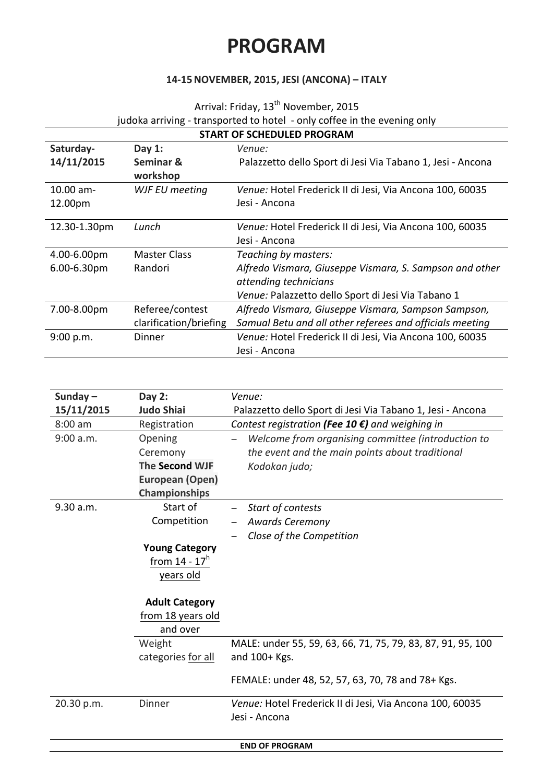# **PROGRAM**

# **14-15NOVEMBER, 2015, JESI (ANCONA) – ITALY**

Arrival: Friday, 13<sup>th</sup> November, 2015

judoka arriving - transported to hotel - only coffee in the evening only

| <b>START OF SCHEDULED PROGRAM</b> |                        |                                                                                  |  |  |
|-----------------------------------|------------------------|----------------------------------------------------------------------------------|--|--|
| Saturday-                         | Day $1:$               | Venue:                                                                           |  |  |
| 14/11/2015                        | Seminar &<br>workshop  | Palazzetto dello Sport di Jesi Via Tabano 1, Jesi - Ancona                       |  |  |
| $10.00$ am-<br>12.00pm            | WJF EU meeting         | Venue: Hotel Frederick II di Jesi, Via Ancona 100, 60035<br>Jesi - Ancona        |  |  |
| 12.30-1.30pm                      | Lunch                  | Venue: Hotel Frederick II di Jesi, Via Ancona 100, 60035<br>Jesi - Ancona        |  |  |
| 4.00-6.00pm                       | <b>Master Class</b>    | Teaching by masters:                                                             |  |  |
| 6.00-6.30pm                       | Randori                | Alfredo Vismara, Giuseppe Vismara, S. Sampson and other<br>attending technicians |  |  |
|                                   |                        | Venue: Palazzetto dello Sport di Jesi Via Tabano 1                               |  |  |
| 7.00-8.00pm                       | Referee/contest        | Alfredo Vismara, Giuseppe Vismara, Sampson Sampson,                              |  |  |
|                                   | clarification/briefing | Samual Betu and all other referees and officials meeting                         |  |  |
| 9:00 p.m.                         | Dinner                 | Venue: Hotel Frederick II di Jesi, Via Ancona 100, 60035<br>Jesi - Ancona        |  |  |

| Sunday $-$            | Day $2:$              | Venue:                                                      |  |  |
|-----------------------|-----------------------|-------------------------------------------------------------|--|--|
| 15/11/2015            | <b>Judo Shiai</b>     | Palazzetto dello Sport di Jesi Via Tabano 1, Jesi - Ancona  |  |  |
| $8:00$ am             | Registration          | Contest registration (Fee 10 $\epsilon$ ) and weighing in   |  |  |
| 9:00 a.m.             | Opening               | Welcome from organising committee (introduction to          |  |  |
|                       | Ceremony              | the event and the main points about traditional             |  |  |
|                       | The Second WJF        | Kodokan judo;                                               |  |  |
|                       | European (Open)       |                                                             |  |  |
|                       | <b>Championships</b>  |                                                             |  |  |
| 9.30 a.m.             | Start of              | Start of contests                                           |  |  |
|                       | Competition           | <b>Awards Ceremony</b>                                      |  |  |
|                       |                       | Close of the Competition                                    |  |  |
|                       | <b>Young Category</b> |                                                             |  |  |
|                       | from $14 - 17h$       |                                                             |  |  |
|                       | years old             |                                                             |  |  |
|                       |                       |                                                             |  |  |
|                       | <b>Adult Category</b> |                                                             |  |  |
|                       | from 18 years old     |                                                             |  |  |
|                       | and over              |                                                             |  |  |
|                       | Weight                | MALE: under 55, 59, 63, 66, 71, 75, 79, 83, 87, 91, 95, 100 |  |  |
|                       | categories for all    | and $100+Kgs$ .                                             |  |  |
|                       |                       |                                                             |  |  |
|                       |                       | FEMALE: under 48, 52, 57, 63, 70, 78 and 78+ Kgs.           |  |  |
| 20.30 p.m.            | Dinner                | Venue: Hotel Frederick II di Jesi, Via Ancona 100, 60035    |  |  |
|                       |                       | Jesi - Ancona                                               |  |  |
|                       |                       |                                                             |  |  |
| <b>END OF PROGRAM</b> |                       |                                                             |  |  |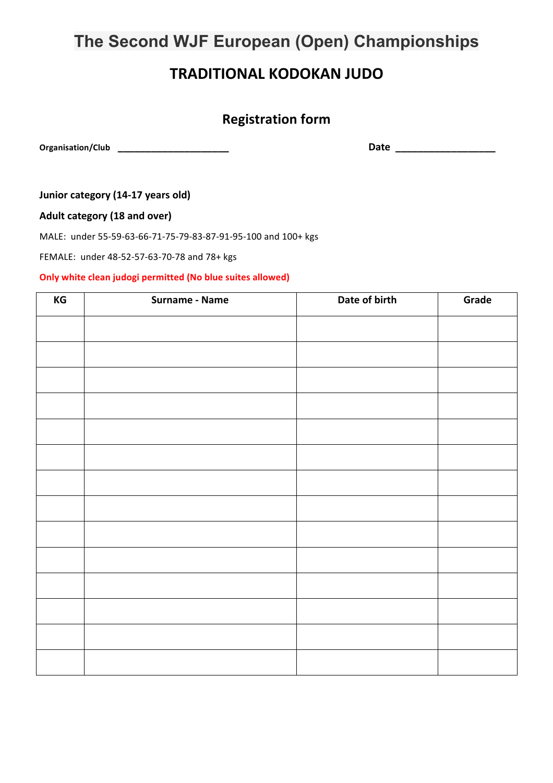# **The Second WJF European (Open) Championships**

# **TRADITIONAL KODOKAN JUDO**

# **Registration form**

**Organisation/Club \_\_\_\_\_\_\_\_\_\_\_\_\_\_\_\_\_\_\_\_ Date \_\_\_\_\_\_\_\_\_\_\_\_\_\_\_\_\_\_**

**Junior category (14-17 years old)** 

Adult category (18 and over)

MALE: under 55-59-63-66-71-75-79-83-87-91-95-100 and 100+ kgs

FEMALE: under 48-52-57-63-70-78 and 78+ kgs

#### **Only white clean judogi permitted (No blue suites allowed)**

| $\mathsf{KG}\xspace$ | Surname - Name | Date of birth | Grade |
|----------------------|----------------|---------------|-------|
|                      |                |               |       |
|                      |                |               |       |
|                      |                |               |       |
|                      |                |               |       |
|                      |                |               |       |
|                      |                |               |       |
|                      |                |               |       |
|                      |                |               |       |
|                      |                |               |       |
|                      |                |               |       |
|                      |                |               |       |
|                      |                |               |       |
|                      |                |               |       |
|                      |                |               |       |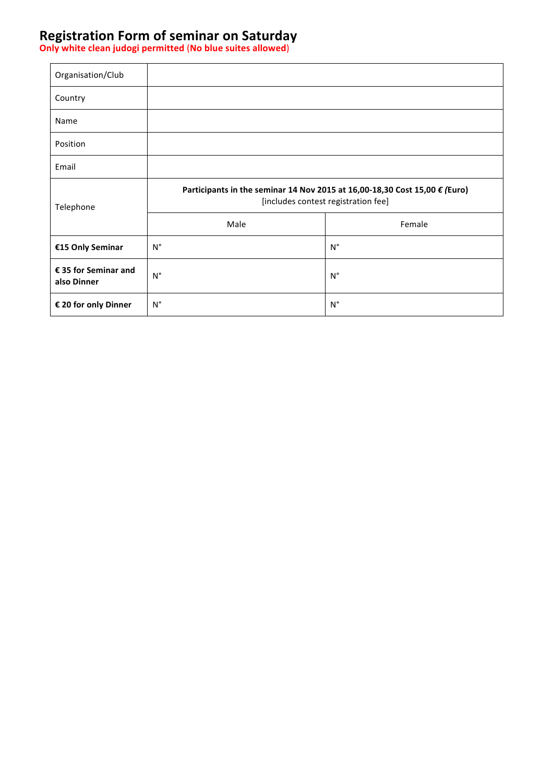# **Registration Form of seminar on Saturday**

**Only white clean judogi permitted** (**No blue suites allowed**)

| Organisation/Club                   |                                                                                                                            |                    |  |
|-------------------------------------|----------------------------------------------------------------------------------------------------------------------------|--------------------|--|
| Country                             |                                                                                                                            |                    |  |
| Name                                |                                                                                                                            |                    |  |
| Position                            |                                                                                                                            |                    |  |
| Email                               |                                                                                                                            |                    |  |
| Telephone                           | Participants in the seminar 14 Nov 2015 at 16,00-18,30 Cost 15,00 $\epsilon$ (Euro)<br>[includes contest registration fee] |                    |  |
|                                     | Male                                                                                                                       | Female             |  |
| €15 Only Seminar                    | $N^{\circ}$                                                                                                                | $\mathsf{N}^\circ$ |  |
| € 35 for Seminar and<br>also Dinner | $N^{\circ}$                                                                                                                | $N^{\circ}$        |  |
| € 20 for only Dinner                | $\mathsf{N}^\circ$                                                                                                         | $\mathsf{N}^\circ$ |  |